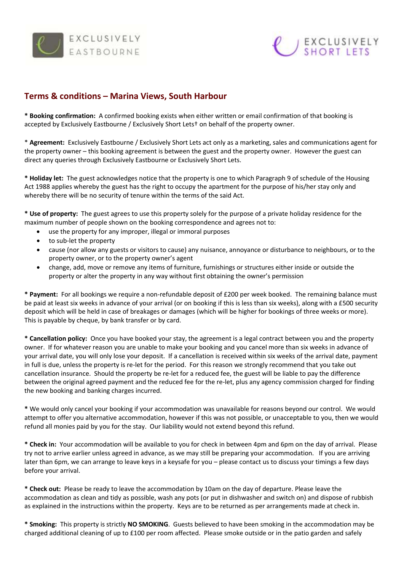



## **Terms & conditions – Marina Views, South Harbour**

**\* Booking confirmation:** A confirmed booking exists when either written or email confirmation of that booking is accepted by Exclusively Eastbourne / Exclusively Short Lets† on behalf of the property owner.

\* **Agreement:** Exclusively Eastbourne / Exclusively Short Lets act only as a marketing, sales and communications agent for the property owner – this booking agreement is between the guest and the property owner. However the guest can direct any queries through Exclusively Eastbourne or Exclusively Short Lets.

**\* Holiday let:** The guest acknowledges notice that the property is one to which Paragraph 9 of schedule of the Housing Act 1988 applies whereby the guest has the right to occupy the apartment for the purpose of his/her stay only and whereby there will be no security of tenure within the terms of the said Act.

**\* Use of property:** The guest agrees to use this property solely for the purpose of a private holiday residence for the maximum number of people shown on the booking correspondence and agrees not to:

- use the property for any improper, illegal or immoral purposes
- to sub-let the property
- cause (nor allow any guests or visitors to cause) any nuisance, annoyance or disturbance to neighbours, or to the property owner, or to the property owner's agent
- change, add, move or remove any items of furniture, furnishings or structures either inside or outside the property or alter the property in any way without first obtaining the owner's permission

**\* Payment:** For all bookings we require a non-refundable deposit of £200 per week booked. The remaining balance must be paid at least six weeks in advance of your arrival (or on booking if this is less than six weeks), along with a £500 security deposit which will be held in case of breakages or damages (which will be higher for bookings of three weeks or more). This is payable by cheque, by bank transfer or by card.

**\* Cancellation policy:** Once you have booked your stay, the agreement is a legal contract between you and the property owner. If for whatever reason you are unable to make your booking and you cancel more than six weeks in advance of your arrival date, you will only lose your deposit. If a cancellation is received within six weeks of the arrival date, payment in full is due, unless the property is re-let for the period. For this reason we strongly recommend that you take out cancellation insurance. Should the property be re-let for a reduced fee, the guest will be liable to pay the difference between the original agreed payment and the reduced fee for the re-let, plus any agency commission charged for finding the new booking and banking charges incurred.

**\*** We would only cancel your booking if your accommodation was unavailable for reasons beyond our control. We would attempt to offer you alternative accommodation, however if this was not possible, or unacceptable to you, then we would refund all monies paid by you for the stay. Our liability would not extend beyond this refund.

**\* Check in:** Your accommodation will be available to you for check in between 4pm and 6pm on the day of arrival. Please try not to arrive earlier unless agreed in advance, as we may still be preparing your accommodation. If you are arriving later than 6pm, we can arrange to leave keys in a keysafe for you – please contact us to discuss your timings a few days before your arrival.

**\* Check out:** Please be ready to leave the accommodation by 10am on the day of departure. Please leave the accommodation as clean and tidy as possible, wash any pots (or put in dishwasher and switch on) and dispose of rubbish as explained in the instructions within the property. Keys are to be returned as per arrangements made at check in.

**\* Smoking:** This property is strictly **NO SMOKING**. Guests believed to have been smoking in the accommodation may be charged additional cleaning of up to £100 per room affected. Please smoke outside or in the patio garden and safely